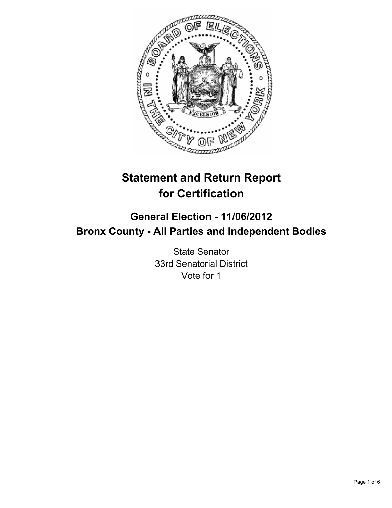

# **Statement and Return Report for Certification**

# **General Election - 11/06/2012 Bronx County - All Parties and Independent Bodies**

State Senator 33rd Senatorial District Vote for 1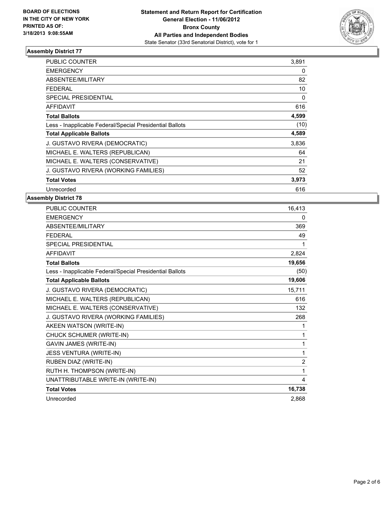

| <b>PUBLIC COUNTER</b>                                    | 3,891 |
|----------------------------------------------------------|-------|
| <b>EMERGENCY</b>                                         | 0     |
| ABSENTEE/MILITARY                                        | 82    |
| <b>FEDERAL</b>                                           | 10    |
| <b>SPECIAL PRESIDENTIAL</b>                              | 0     |
| <b>AFFIDAVIT</b>                                         | 616   |
| <b>Total Ballots</b>                                     | 4,599 |
| Less - Inapplicable Federal/Special Presidential Ballots | (10)  |
| <b>Total Applicable Ballots</b>                          | 4,589 |
| J. GUSTAVO RIVERA (DEMOCRATIC)                           | 3,836 |
| MICHAEL E. WALTERS (REPUBLICAN)                          | 64    |
| MICHAEL E. WALTERS (CONSERVATIVE)                        | 21    |
| J. GUSTAVO RIVERA (WORKING FAMILIES)                     | 52    |
| <b>Total Votes</b>                                       | 3,973 |
| Unrecorded                                               | 616   |

| <b>PUBLIC COUNTER</b>                                    | 16,413         |
|----------------------------------------------------------|----------------|
| <b>EMERGENCY</b>                                         | 0              |
| ABSENTEE/MILITARY                                        | 369            |
| <b>FEDERAL</b>                                           | 49             |
| <b>SPECIAL PRESIDENTIAL</b>                              | 1              |
| <b>AFFIDAVIT</b>                                         | 2,824          |
| <b>Total Ballots</b>                                     | 19,656         |
| Less - Inapplicable Federal/Special Presidential Ballots | (50)           |
| <b>Total Applicable Ballots</b>                          | 19,606         |
| J. GUSTAVO RIVERA (DEMOCRATIC)                           | 15,711         |
| MICHAEL E. WALTERS (REPUBLICAN)                          | 616            |
| MICHAEL E. WALTERS (CONSERVATIVE)                        | 132            |
| J. GUSTAVO RIVERA (WORKING FAMILIES)                     | 268            |
| AKEEN WATSON (WRITE-IN)                                  | 1              |
| CHUCK SCHUMER (WRITE-IN)                                 | 1              |
| <b>GAVIN JAMES (WRITE-IN)</b>                            | 1              |
| <b>JESS VENTURA (WRITE-IN)</b>                           | 1              |
| RUBEN DIAZ (WRITE-IN)                                    | $\overline{2}$ |
| RUTH H. THOMPSON (WRITE-IN)                              | 1              |
| UNATTRIBUTABLE WRITE-IN (WRITE-IN)                       | 4              |
| <b>Total Votes</b>                                       | 16,738         |
| Unrecorded                                               | 2.868          |
|                                                          |                |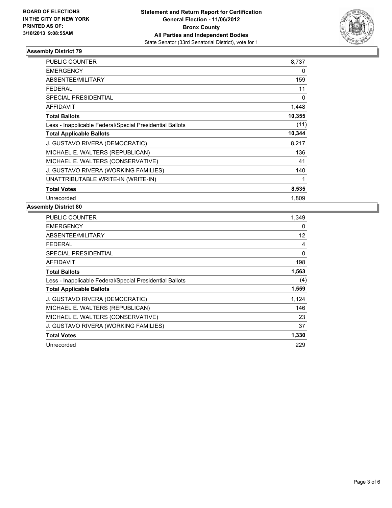

| <b>PUBLIC COUNTER</b>                                    | 8,737  |
|----------------------------------------------------------|--------|
| <b>EMERGENCY</b>                                         | 0      |
| ABSENTEE/MILITARY                                        | 159    |
| <b>FEDERAL</b>                                           | 11     |
| <b>SPECIAL PRESIDENTIAL</b>                              | 0      |
| <b>AFFIDAVIT</b>                                         | 1,448  |
| <b>Total Ballots</b>                                     | 10,355 |
| Less - Inapplicable Federal/Special Presidential Ballots | (11)   |
| <b>Total Applicable Ballots</b>                          | 10,344 |
| J. GUSTAVO RIVERA (DEMOCRATIC)                           | 8,217  |
| MICHAEL E. WALTERS (REPUBLICAN)                          | 136    |
| MICHAEL E. WALTERS (CONSERVATIVE)                        | 41     |
| J. GUSTAVO RIVERA (WORKING FAMILIES)                     | 140    |
| UNATTRIBUTABLE WRITE-IN (WRITE-IN)                       | 1      |
| <b>Total Votes</b>                                       | 8,535  |
| Unrecorded                                               | 1.809  |

| <b>PUBLIC COUNTER</b>                                    | 1.349             |
|----------------------------------------------------------|-------------------|
| <b>EMERGENCY</b>                                         | 0                 |
| ABSENTEE/MILITARY                                        | $12 \overline{ }$ |
| <b>FEDERAL</b>                                           | 4                 |
| <b>SPECIAL PRESIDENTIAL</b>                              | 0                 |
| <b>AFFIDAVIT</b>                                         | 198               |
| <b>Total Ballots</b>                                     | 1,563             |
| Less - Inapplicable Federal/Special Presidential Ballots | (4)               |
| <b>Total Applicable Ballots</b>                          | 1,559             |
| J. GUSTAVO RIVERA (DEMOCRATIC)                           | 1,124             |
| MICHAEL E. WALTERS (REPUBLICAN)                          | 146               |
| MICHAEL E. WALTERS (CONSERVATIVE)                        | 23                |
| J. GUSTAVO RIVERA (WORKING FAMILIES)                     | 37                |
| <b>Total Votes</b>                                       | 1,330             |
| Unrecorded                                               | 229               |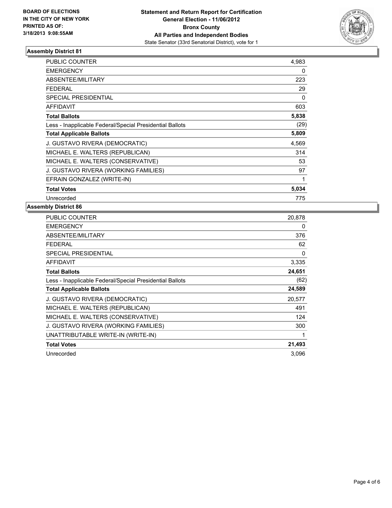

| <b>PUBLIC COUNTER</b>                                    | 4,983 |
|----------------------------------------------------------|-------|
| <b>EMERGENCY</b>                                         | 0     |
| ABSENTEE/MILITARY                                        | 223   |
| <b>FEDERAL</b>                                           | 29    |
| <b>SPECIAL PRESIDENTIAL</b>                              | 0     |
| <b>AFFIDAVIT</b>                                         | 603   |
| <b>Total Ballots</b>                                     | 5,838 |
| Less - Inapplicable Federal/Special Presidential Ballots | (29)  |
| <b>Total Applicable Ballots</b>                          | 5,809 |
| J. GUSTAVO RIVERA (DEMOCRATIC)                           | 4,569 |
| MICHAEL E. WALTERS (REPUBLICAN)                          | 314   |
| MICHAEL E. WALTERS (CONSERVATIVE)                        | 53    |
| J. GUSTAVO RIVERA (WORKING FAMILIES)                     | 97    |
| EFRAIN GONZALEZ (WRITE-IN)                               | 1     |
| <b>Total Votes</b>                                       | 5,034 |
| Unrecorded                                               | 775   |

| <b>PUBLIC COUNTER</b>                                    | 20,878 |
|----------------------------------------------------------|--------|
| <b>EMERGENCY</b>                                         | 0      |
| ABSENTEE/MILITARY                                        | 376    |
| <b>FEDERAL</b>                                           | 62     |
| SPECIAL PRESIDENTIAL                                     | 0      |
| AFFIDAVIT                                                | 3,335  |
| <b>Total Ballots</b>                                     | 24,651 |
| Less - Inapplicable Federal/Special Presidential Ballots | (62)   |
| <b>Total Applicable Ballots</b>                          | 24,589 |
| J. GUSTAVO RIVERA (DEMOCRATIC)                           | 20,577 |
| MICHAEL E. WALTERS (REPUBLICAN)                          | 491    |
|                                                          |        |
| MICHAEL E. WALTERS (CONSERVATIVE)                        | 124    |
| J. GUSTAVO RIVERA (WORKING FAMILIES)                     | 300    |
| UNATTRIBUTABLE WRITE-IN (WRITE-IN)                       | 1      |
| <b>Total Votes</b>                                       | 21,493 |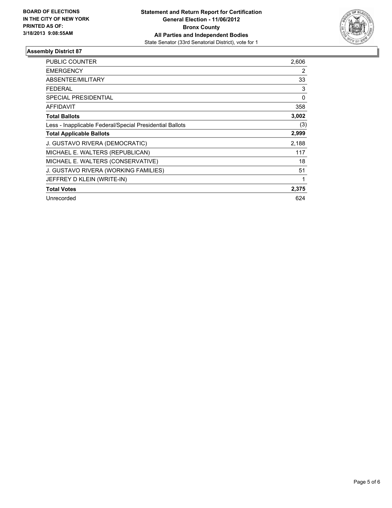

| <b>PUBLIC COUNTER</b>                                    | 2,606 |
|----------------------------------------------------------|-------|
| <b>EMERGENCY</b>                                         | 2     |
| <b>ABSENTEE/MILITARY</b>                                 | 33    |
| <b>FEDERAL</b>                                           | 3     |
| <b>SPECIAL PRESIDENTIAL</b>                              | 0     |
| <b>AFFIDAVIT</b>                                         | 358   |
| <b>Total Ballots</b>                                     | 3,002 |
| Less - Inapplicable Federal/Special Presidential Ballots | (3)   |
| <b>Total Applicable Ballots</b>                          | 2,999 |
| J. GUSTAVO RIVERA (DEMOCRATIC)                           | 2,188 |
| MICHAEL E. WALTERS (REPUBLICAN)                          | 117   |
| MICHAEL E. WALTERS (CONSERVATIVE)                        | 18    |
| J. GUSTAVO RIVERA (WORKING FAMILIES)                     | 51    |
| JEFFREY D KLEIN (WRITE-IN)                               |       |
| <b>Total Votes</b>                                       | 2,375 |
| Unrecorded                                               | 624   |